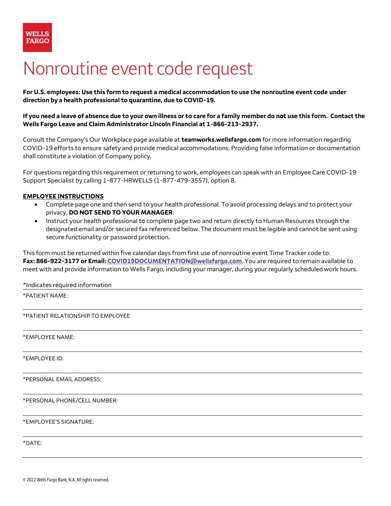## Nonroutine event code request

**For U.S. employees: Use this form to request a medical accommodation to use the nonroutine event code under direction by a health professional to quarantine, due to COVID-19.**

**If you need a leave of absence due to your own illness or to care for a family member do not use this form. Contact the Wells Fargo Leave and Claim Administrator Lincoln Financial at 1-866-213-2937.** 

Consult the Company's Our Workplace page available at **[teamworks.wellsfargo.com](http://www.teamworks.wellsfargo.com)** for more information regarding COVID-19 efforts to ensure safety and provide medical accommodations. Providing false information or documentation shall constitute a violation of Company policy.

For questions regarding this requirement or returning to work, employees can speak with an Employee Care COVID-19 Support Specialist by calling 1-877-HRWELLS (1-877-479-3557), option 8.

## **EMPLOYEE INSTRUCTIONS**

- Complete page one and then send to your health professional. To avoid processing delays and to protect your privacy, **DO NOT SEND TO YOUR MANAGER**.
- Instruct your health professional to complete page two and return directly to Human Resources through the designated email and/or secured fax referenced below. The document must be legible and cannot be sent using secure functionality or password protection.

This form must be returned within five calendar days from first use of nonroutine event Time Tracker code to: **Fax: 866-922-3177 or Email[: COVID19DOCUMENTATION@wellsfargo.com](mailto:COVID19DOCUMENTATION@wellsfargo.com)**. You are required to remain available to meet with and provide information to Wells Fargo, including your manager, during your regularly scheduled work hours.

## \*Indicates required information

\*PATIENT NAME:

\*PATIENT RELATIONSHIP TO EMPLOYEE

\*EMPLOYEE NAME:

\*EMPLOYEE ID:

\*PERSONAL EMAIL ADDRESS:

\*PERSONAL PHONE/CELL NUMBER:

\*EMPLOYEE'S SIGNATURE:

\*DATE: